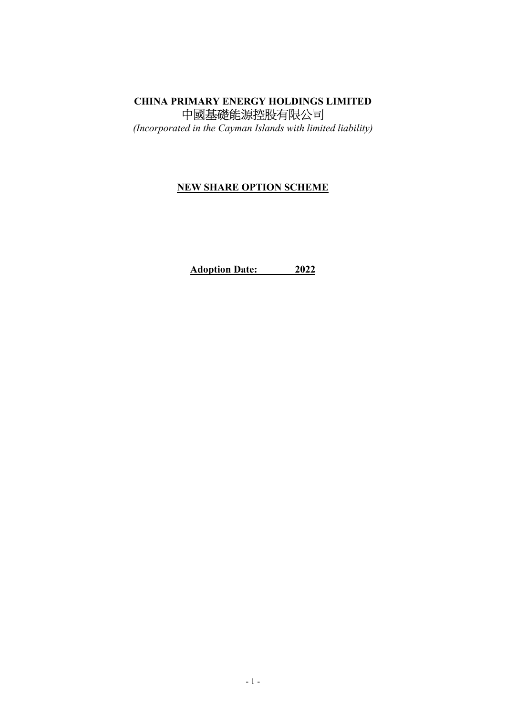# CHINA PRIMARY ENERGY HOLDINGS LIMITED 中國基礎能源控股有限公司

(Incorporated in the Cayman Islands with limited liability)

## NEW SHARE OPTION SCHEME

Adoption Date: 2022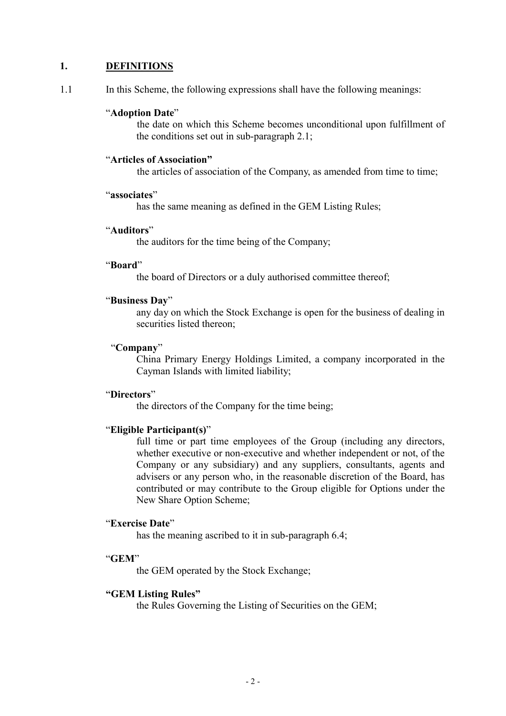## 1. DEFINITIONS

1.1 In this Scheme, the following expressions shall have the following meanings:

#### "Adoption Date"

the date on which this Scheme becomes unconditional upon fulfillment of the conditions set out in sub-paragraph 2.1;

#### "Articles of Association"

the articles of association of the Company, as amended from time to time;

#### "associates"

has the same meaning as defined in the GEM Listing Rules;

### "Auditors"

the auditors for the time being of the Company;

### "Board"

the board of Directors or a duly authorised committee thereof;

#### "Business Day"

 any day on which the Stock Exchange is open for the business of dealing in securities listed thereon;

### "Company"

China Primary Energy Holdings Limited, a company incorporated in the Cayman Islands with limited liability;

#### "Directors"

the directors of the Company for the time being;

### "Eligible Participant(s)"

full time or part time employees of the Group (including any directors, whether executive or non-executive and whether independent or not, of the Company or any subsidiary) and any suppliers, consultants, agents and advisers or any person who, in the reasonable discretion of the Board, has contributed or may contribute to the Group eligible for Options under the New Share Option Scheme;

## "Exercise Date"

has the meaning ascribed to it in sub-paragraph 6.4;

#### "GEM"

the GEM operated by the Stock Exchange;

## "GEM Listing Rules"

the Rules Governing the Listing of Securities on the GEM;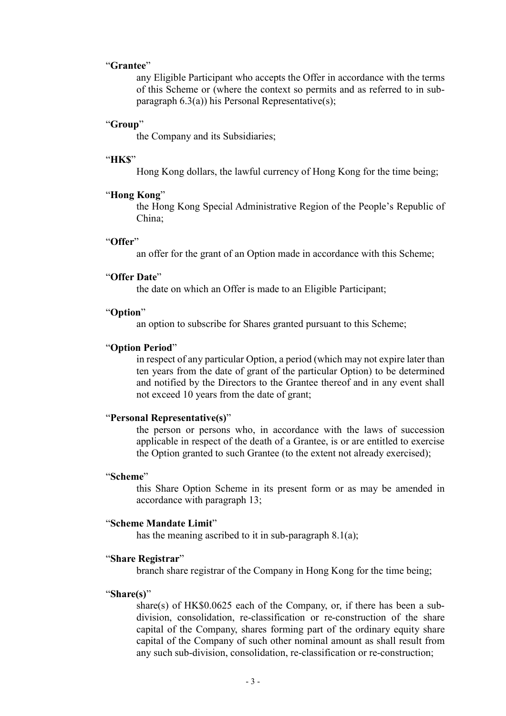### "Grantee"

any Eligible Participant who accepts the Offer in accordance with the terms of this Scheme or (where the context so permits and as referred to in subparagraph 6.3(a)) his Personal Representative(s);

### "Group"

the Company and its Subsidiaries;

#### "HK\$"

Hong Kong dollars, the lawful currency of Hong Kong for the time being;

#### "Hong Kong"

the Hong Kong Special Administrative Region of the People's Republic of China;

#### "Offer"

an offer for the grant of an Option made in accordance with this Scheme;

### "Offer Date"

the date on which an Offer is made to an Eligible Participant;

#### "Option"

an option to subscribe for Shares granted pursuant to this Scheme;

#### "Option Period"

in respect of any particular Option, a period (which may not expire later than ten years from the date of grant of the particular Option) to be determined and notified by the Directors to the Grantee thereof and in any event shall not exceed 10 years from the date of grant;

#### "Personal Representative(s)"

the person or persons who, in accordance with the laws of succession applicable in respect of the death of a Grantee, is or are entitled to exercise the Option granted to such Grantee (to the extent not already exercised);

#### "Scheme"

this Share Option Scheme in its present form or as may be amended in accordance with paragraph 13;

#### "Scheme Mandate Limit"

has the meaning ascribed to it in sub-paragraph 8.1(a);

#### "Share Registrar"

branch share registrar of the Company in Hong Kong for the time being;

#### "Share(s)"

share(s) of HK\$0.0625 each of the Company, or, if there has been a subdivision, consolidation, re-classification or re-construction of the share capital of the Company, shares forming part of the ordinary equity share capital of the Company of such other nominal amount as shall result from any such sub-division, consolidation, re-classification or re-construction;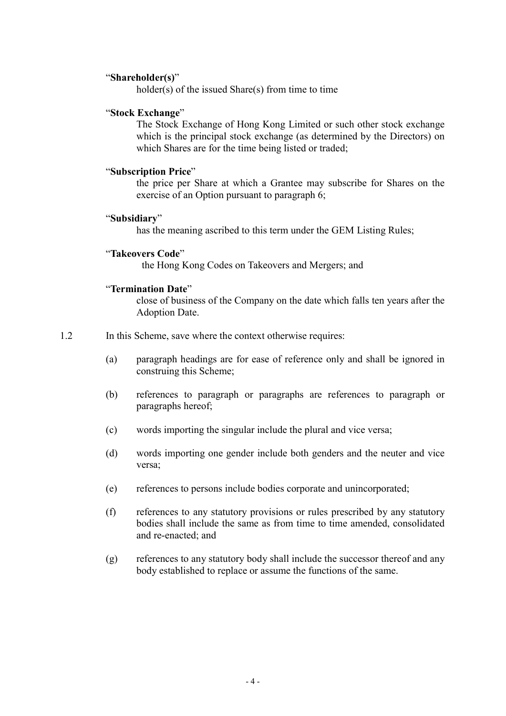### "Shareholder(s)"

holder(s) of the issued Share(s) from time to time

### "Stock Exchange"

The Stock Exchange of Hong Kong Limited or such other stock exchange which is the principal stock exchange (as determined by the Directors) on which Shares are for the time being listed or traded;

### "Subscription Price"

the price per Share at which a Grantee may subscribe for Shares on the exercise of an Option pursuant to paragraph 6;

### "Subsidiary"

has the meaning ascribed to this term under the GEM Listing Rules;

## "Takeovers Code"

the Hong Kong Codes on Takeovers and Mergers; and

### "Termination Date"

close of business of the Company on the date which falls ten years after the Adoption Date.

## 1.2 In this Scheme, save where the context otherwise requires:

- (a) paragraph headings are for ease of reference only and shall be ignored in construing this Scheme;
- (b) references to paragraph or paragraphs are references to paragraph or paragraphs hereof;
- (c) words importing the singular include the plural and vice versa;
- (d) words importing one gender include both genders and the neuter and vice versa;
- (e) references to persons include bodies corporate and unincorporated;
- (f) references to any statutory provisions or rules prescribed by any statutory bodies shall include the same as from time to time amended, consolidated and re-enacted; and
- (g) references to any statutory body shall include the successor thereof and any body established to replace or assume the functions of the same.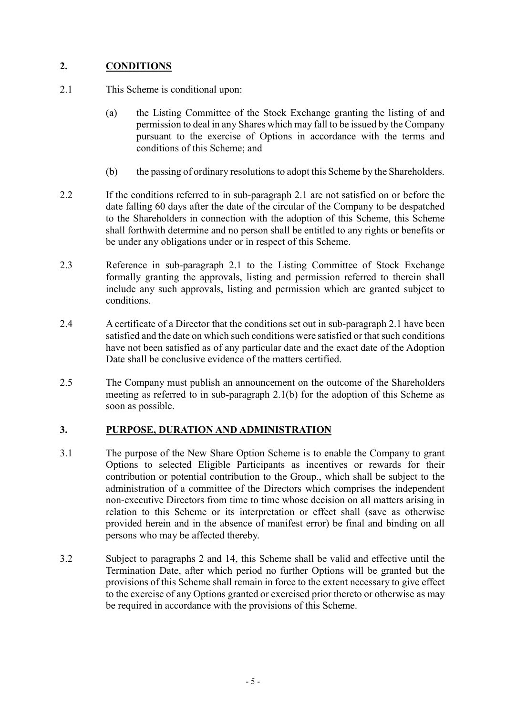## 2. CONDITIONS

- 2.1 This Scheme is conditional upon:
	- (a) the Listing Committee of the Stock Exchange granting the listing of and permission to deal in any Shares which may fall to be issued by the Company pursuant to the exercise of Options in accordance with the terms and conditions of this Scheme; and
	- (b) the passing of ordinary resolutions to adopt this Scheme by the Shareholders.
- 2.2 If the conditions referred to in sub-paragraph 2.1 are not satisfied on or before the date falling 60 days after the date of the circular of the Company to be despatched to the Shareholders in connection with the adoption of this Scheme, this Scheme shall forthwith determine and no person shall be entitled to any rights or benefits or be under any obligations under or in respect of this Scheme.
- 2.3 Reference in sub-paragraph 2.1 to the Listing Committee of Stock Exchange formally granting the approvals, listing and permission referred to therein shall include any such approvals, listing and permission which are granted subject to conditions.
- 2.4 A certificate of a Director that the conditions set out in sub-paragraph 2.1 have been satisfied and the date on which such conditions were satisfied or that such conditions have not been satisfied as of any particular date and the exact date of the Adoption Date shall be conclusive evidence of the matters certified.
- 2.5 The Company must publish an announcement on the outcome of the Shareholders meeting as referred to in sub-paragraph 2.1(b) for the adoption of this Scheme as soon as possible.

## 3. PURPOSE, DURATION AND ADMINISTRATION

- 3.1 The purpose of the New Share Option Scheme is to enable the Company to grant Options to selected Eligible Participants as incentives or rewards for their contribution or potential contribution to the Group., which shall be subject to the administration of a committee of the Directors which comprises the independent non-executive Directors from time to time whose decision on all matters arising in relation to this Scheme or its interpretation or effect shall (save as otherwise provided herein and in the absence of manifest error) be final and binding on all persons who may be affected thereby.
- 3.2 Subject to paragraphs 2 and 14, this Scheme shall be valid and effective until the Termination Date, after which period no further Options will be granted but the provisions of this Scheme shall remain in force to the extent necessary to give effect to the exercise of any Options granted or exercised prior thereto or otherwise as may be required in accordance with the provisions of this Scheme.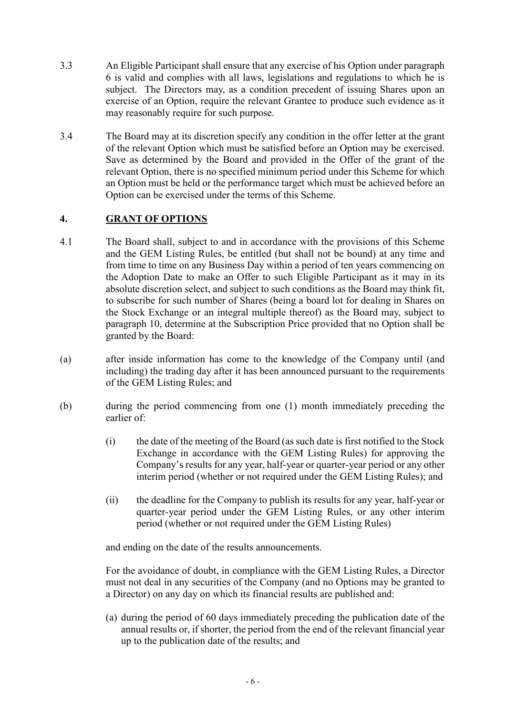- 3.3 An Eligible Participant shall ensure that any exercise of his Option under paragraph 6 is valid and complies with all laws, legislations and regulations to which he is subject. The Directors may, as a condition precedent of issuing Shares upon an exercise of an Option, require the relevant Grantee to produce such evidence as it may reasonably require for such purpose.
- 3.4 The Board may at its discretion specify any condition in the offer letter at the grant of the relevant Option which must be satisfied before an Option may be exercised. Save as determined by the Board and provided in the Offer of the grant of the relevant Option, there is no specified minimum period under this Scheme for which an Option must be held or the performance target which must be achieved before an Option can be exercised under the terms of this Scheme.

## 4. GRANT OF OPTIONS

- 4.1 The Board shall, subject to and in accordance with the provisions of this Scheme and the GEM Listing Rules, be entitled (but shall not be bound) at any time and from time to time on any Business Day within a period of ten years commencing on the Adoption Date to make an Offer to such Eligible Participant as it may in its absolute discretion select, and subject to such conditions as the Board may think fit, to subscribe for such number of Shares (being a board lot for dealing in Shares on the Stock Exchange or an integral multiple thereof) as the Board may, subject to paragraph 10, determine at the Subscription Price provided that no Option shall be granted by the Board:
- (a) after inside information has come to the knowledge of the Company until (and including) the trading day after it has been announced pursuant to the requirements of the GEM Listing Rules; and
- (b) during the period commencing from one (1) month immediately preceding the earlier of:
	- (i) the date of the meeting of the Board (as such date is first notified to the Stock Exchange in accordance with the GEM Listing Rules) for approving the Company's results for any year, half-year or quarter-year period or any other interim period (whether or not required under the GEM Listing Rules); and
	- (ii) the deadline for the Company to publish its results for any year, half-year or quarter-year period under the GEM Listing Rules, or any other interim period (whether or not required under the GEM Listing Rules)

and ending on the date of the results announcements.

For the avoidance of doubt, in compliance with the GEM Listing Rules, a Director must not deal in any securities of the Company (and no Options may be granted to a Director) on any day on which its financial results are published and:

(a) during the period of 60 days immediately preceding the publication date of the annual results or, if shorter, the period from the end of the relevant financial year up to the publication date of the results; and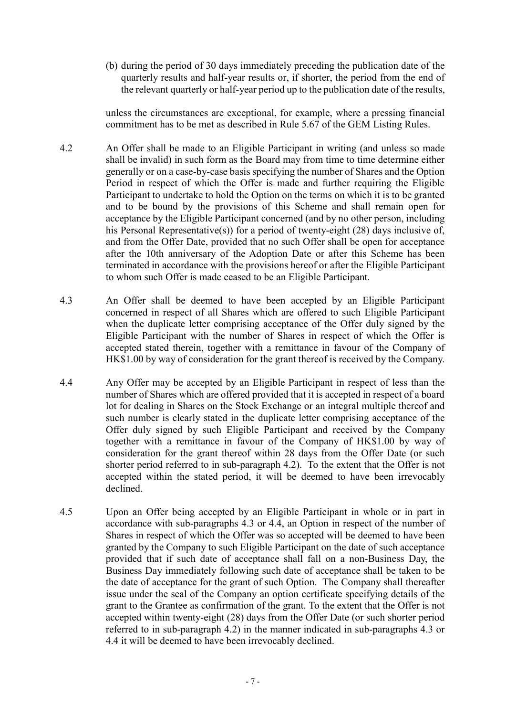(b) during the period of 30 days immediately preceding the publication date of the quarterly results and half-year results or, if shorter, the period from the end of the relevant quarterly or half-year period up to the publication date of the results,

unless the circumstances are exceptional, for example, where a pressing financial commitment has to be met as described in Rule 5.67 of the GEM Listing Rules.

- 4.2 An Offer shall be made to an Eligible Participant in writing (and unless so made shall be invalid) in such form as the Board may from time to time determine either generally or on a case-by-case basis specifying the number of Shares and the Option Period in respect of which the Offer is made and further requiring the Eligible Participant to undertake to hold the Option on the terms on which it is to be granted and to be bound by the provisions of this Scheme and shall remain open for acceptance by the Eligible Participant concerned (and by no other person, including his Personal Representative(s)) for a period of twenty-eight (28) days inclusive of, and from the Offer Date, provided that no such Offer shall be open for acceptance after the 10th anniversary of the Adoption Date or after this Scheme has been terminated in accordance with the provisions hereof or after the Eligible Participant to whom such Offer is made ceased to be an Eligible Participant.
- 4.3 An Offer shall be deemed to have been accepted by an Eligible Participant concerned in respect of all Shares which are offered to such Eligible Participant when the duplicate letter comprising acceptance of the Offer duly signed by the Eligible Participant with the number of Shares in respect of which the Offer is accepted stated therein, together with a remittance in favour of the Company of HK\$1.00 by way of consideration for the grant thereof is received by the Company.
- 4.4 Any Offer may be accepted by an Eligible Participant in respect of less than the number of Shares which are offered provided that it is accepted in respect of a board lot for dealing in Shares on the Stock Exchange or an integral multiple thereof and such number is clearly stated in the duplicate letter comprising acceptance of the Offer duly signed by such Eligible Participant and received by the Company together with a remittance in favour of the Company of HK\$1.00 by way of consideration for the grant thereof within 28 days from the Offer Date (or such shorter period referred to in sub-paragraph 4.2). To the extent that the Offer is not accepted within the stated period, it will be deemed to have been irrevocably declined.
- 4.5 Upon an Offer being accepted by an Eligible Participant in whole or in part in accordance with sub-paragraphs 4.3 or 4.4, an Option in respect of the number of Shares in respect of which the Offer was so accepted will be deemed to have been granted by the Company to such Eligible Participant on the date of such acceptance provided that if such date of acceptance shall fall on a non-Business Day, the Business Day immediately following such date of acceptance shall be taken to be the date of acceptance for the grant of such Option. The Company shall thereafter issue under the seal of the Company an option certificate specifying details of the grant to the Grantee as confirmation of the grant. To the extent that the Offer is not accepted within twenty-eight (28) days from the Offer Date (or such shorter period referred to in sub-paragraph 4.2) in the manner indicated in sub-paragraphs 4.3 or 4.4 it will be deemed to have been irrevocably declined.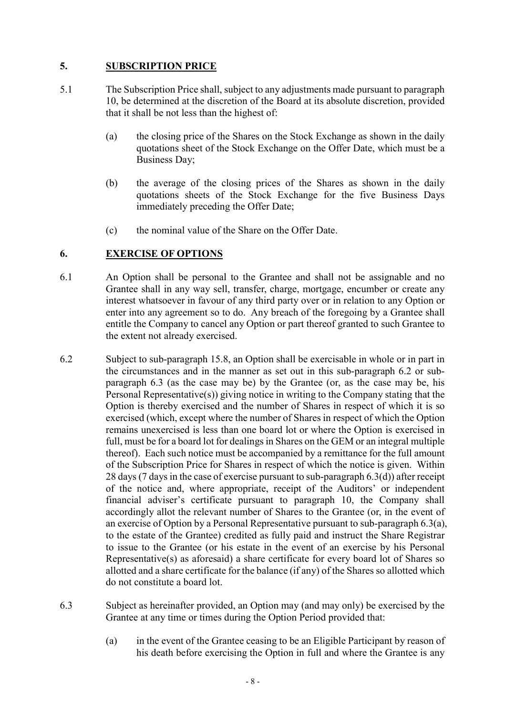## 5. SUBSCRIPTION PRICE

- 5.1 The Subscription Price shall, subject to any adjustments made pursuant to paragraph 10, be determined at the discretion of the Board at its absolute discretion, provided that it shall be not less than the highest of:
	- (a) the closing price of the Shares on the Stock Exchange as shown in the daily quotations sheet of the Stock Exchange on the Offer Date, which must be a Business Day;
	- (b) the average of the closing prices of the Shares as shown in the daily quotations sheets of the Stock Exchange for the five Business Days immediately preceding the Offer Date;
	- (c) the nominal value of the Share on the Offer Date.

## 6. EXERCISE OF OPTIONS

- 6.1 An Option shall be personal to the Grantee and shall not be assignable and no Grantee shall in any way sell, transfer, charge, mortgage, encumber or create any interest whatsoever in favour of any third party over or in relation to any Option or enter into any agreement so to do. Any breach of the foregoing by a Grantee shall entitle the Company to cancel any Option or part thereof granted to such Grantee to the extent not already exercised.
- 6.2 Subject to sub-paragraph 15.8, an Option shall be exercisable in whole or in part in the circumstances and in the manner as set out in this sub-paragraph 6.2 or subparagraph 6.3 (as the case may be) by the Grantee (or, as the case may be, his Personal Representative(s)) giving notice in writing to the Company stating that the Option is thereby exercised and the number of Shares in respect of which it is so exercised (which, except where the number of Shares in respect of which the Option remains unexercised is less than one board lot or where the Option is exercised in full, must be for a board lot for dealings in Shares on the GEM or an integral multiple thereof). Each such notice must be accompanied by a remittance for the full amount of the Subscription Price for Shares in respect of which the notice is given. Within 28 days (7 days in the case of exercise pursuant to sub-paragraph 6.3(d)) after receipt of the notice and, where appropriate, receipt of the Auditors' or independent financial adviser's certificate pursuant to paragraph 10, the Company shall accordingly allot the relevant number of Shares to the Grantee (or, in the event of an exercise of Option by a Personal Representative pursuant to sub-paragraph 6.3(a), to the estate of the Grantee) credited as fully paid and instruct the Share Registrar to issue to the Grantee (or his estate in the event of an exercise by his Personal Representative(s) as aforesaid) a share certificate for every board lot of Shares so allotted and a share certificate for the balance (if any) of the Shares so allotted which do not constitute a board lot.
- 6.3 Subject as hereinafter provided, an Option may (and may only) be exercised by the Grantee at any time or times during the Option Period provided that:
	- (a) in the event of the Grantee ceasing to be an Eligible Participant by reason of his death before exercising the Option in full and where the Grantee is any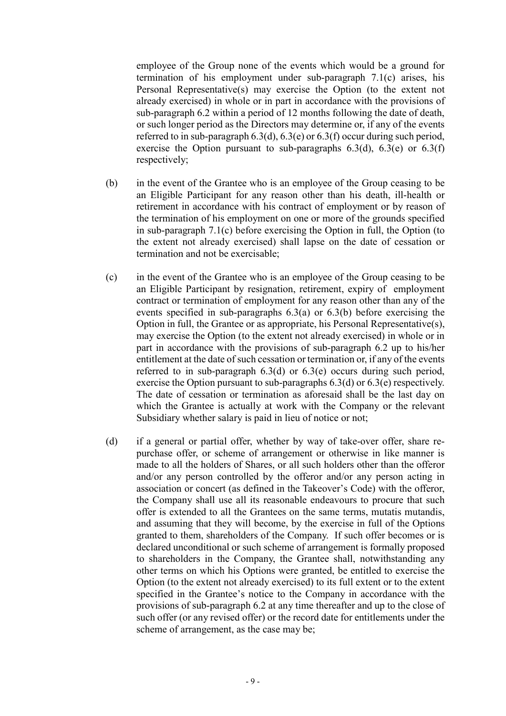employee of the Group none of the events which would be a ground for termination of his employment under sub-paragraph 7.1(c) arises, his Personal Representative(s) may exercise the Option (to the extent not already exercised) in whole or in part in accordance with the provisions of sub-paragraph 6.2 within a period of 12 months following the date of death, or such longer period as the Directors may determine or, if any of the events referred to in sub-paragraph  $6.3(d)$ ,  $6.3(e)$  or  $6.3(f)$  occur during such period, exercise the Option pursuant to sub-paragraphs  $6.3(d)$ ,  $6.3(e)$  or  $6.3(f)$ respectively;

- (b) in the event of the Grantee who is an employee of the Group ceasing to be an Eligible Participant for any reason other than his death, ill-health or retirement in accordance with his contract of employment or by reason of the termination of his employment on one or more of the grounds specified in sub-paragraph 7.1(c) before exercising the Option in full, the Option (to the extent not already exercised) shall lapse on the date of cessation or termination and not be exercisable;
- (c) in the event of the Grantee who is an employee of the Group ceasing to be an Eligible Participant by resignation, retirement, expiry of employment contract or termination of employment for any reason other than any of the events specified in sub-paragraphs 6.3(a) or 6.3(b) before exercising the Option in full, the Grantee or as appropriate, his Personal Representative(s), may exercise the Option (to the extent not already exercised) in whole or in part in accordance with the provisions of sub-paragraph 6.2 up to his/her entitlement at the date of such cessation or termination or, if any of the events referred to in sub-paragraph  $6.3(d)$  or  $6.3(e)$  occurs during such period, exercise the Option pursuant to sub-paragraphs 6.3(d) or 6.3(e) respectively. The date of cessation or termination as aforesaid shall be the last day on which the Grantee is actually at work with the Company or the relevant Subsidiary whether salary is paid in lieu of notice or not;
- (d) if a general or partial offer, whether by way of take-over offer, share repurchase offer, or scheme of arrangement or otherwise in like manner is made to all the holders of Shares, or all such holders other than the offeror and/or any person controlled by the offeror and/or any person acting in association or concert (as defined in the Takeover's Code) with the offeror, the Company shall use all its reasonable endeavours to procure that such offer is extended to all the Grantees on the same terms, mutatis mutandis, and assuming that they will become, by the exercise in full of the Options granted to them, shareholders of the Company. If such offer becomes or is declared unconditional or such scheme of arrangement is formally proposed to shareholders in the Company, the Grantee shall, notwithstanding any other terms on which his Options were granted, be entitled to exercise the Option (to the extent not already exercised) to its full extent or to the extent specified in the Grantee's notice to the Company in accordance with the provisions of sub-paragraph 6.2 at any time thereafter and up to the close of such offer (or any revised offer) or the record date for entitlements under the scheme of arrangement, as the case may be;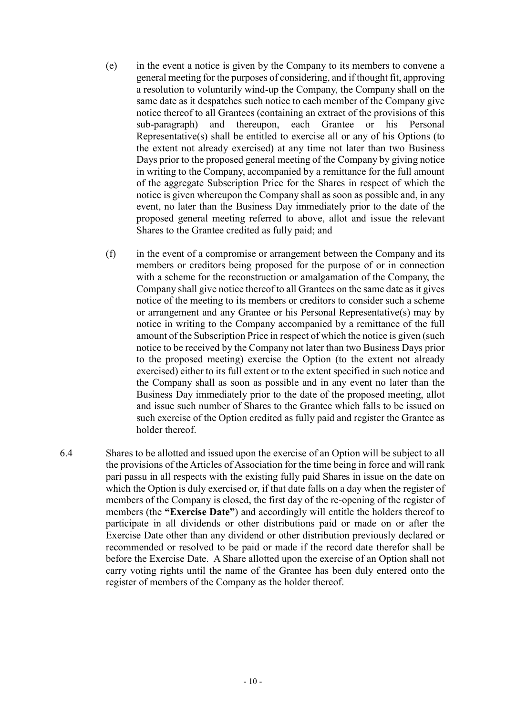- (e) in the event a notice is given by the Company to its members to convene a general meeting for the purposes of considering, and if thought fit, approving a resolution to voluntarily wind-up the Company, the Company shall on the same date as it despatches such notice to each member of the Company give notice thereof to all Grantees (containing an extract of the provisions of this sub-paragraph) and thereupon, each Grantee or his Personal Representative(s) shall be entitled to exercise all or any of his Options (to the extent not already exercised) at any time not later than two Business Days prior to the proposed general meeting of the Company by giving notice in writing to the Company, accompanied by a remittance for the full amount of the aggregate Subscription Price for the Shares in respect of which the notice is given whereupon the Company shall as soon as possible and, in any event, no later than the Business Day immediately prior to the date of the proposed general meeting referred to above, allot and issue the relevant Shares to the Grantee credited as fully paid; and
- (f) in the event of a compromise or arrangement between the Company and its members or creditors being proposed for the purpose of or in connection with a scheme for the reconstruction or amalgamation of the Company, the Company shall give notice thereof to all Grantees on the same date as it gives notice of the meeting to its members or creditors to consider such a scheme or arrangement and any Grantee or his Personal Representative(s) may by notice in writing to the Company accompanied by a remittance of the full amount of the Subscription Price in respect of which the notice is given (such notice to be received by the Company not later than two Business Days prior to the proposed meeting) exercise the Option (to the extent not already exercised) either to its full extent or to the extent specified in such notice and the Company shall as soon as possible and in any event no later than the Business Day immediately prior to the date of the proposed meeting, allot and issue such number of Shares to the Grantee which falls to be issued on such exercise of the Option credited as fully paid and register the Grantee as holder thereof.
- 6.4 Shares to be allotted and issued upon the exercise of an Option will be subject to all the provisions of the Articles of Association for the time being in force and will rank pari passu in all respects with the existing fully paid Shares in issue on the date on which the Option is duly exercised or, if that date falls on a day when the register of members of the Company is closed, the first day of the re-opening of the register of members (the "Exercise Date") and accordingly will entitle the holders thereof to participate in all dividends or other distributions paid or made on or after the Exercise Date other than any dividend or other distribution previously declared or recommended or resolved to be paid or made if the record date therefor shall be before the Exercise Date. A Share allotted upon the exercise of an Option shall not carry voting rights until the name of the Grantee has been duly entered onto the register of members of the Company as the holder thereof.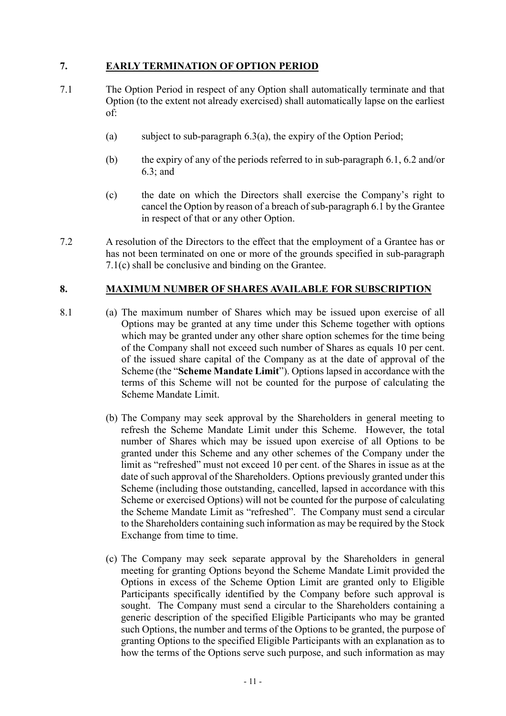## 7. EARLY TERMINATION OF OPTION PERIOD

- 7.1 The Option Period in respect of any Option shall automatically terminate and that Option (to the extent not already exercised) shall automatically lapse on the earliest of:
	- (a) subject to sub-paragraph  $6.3(a)$ , the expiry of the Option Period;
	- (b) the expiry of any of the periods referred to in sub-paragraph 6.1, 6.2 and/or 6.3; and
	- (c) the date on which the Directors shall exercise the Company's right to cancel the Option by reason of a breach of sub-paragraph 6.1 by the Grantee in respect of that or any other Option.
- 7.2 A resolution of the Directors to the effect that the employment of a Grantee has or has not been terminated on one or more of the grounds specified in sub-paragraph 7.1(c) shall be conclusive and binding on the Grantee.

## 8. MAXIMUM NUMBER OF SHARES AVAILABLE FOR SUBSCRIPTION

- 8.1 (a) The maximum number of Shares which may be issued upon exercise of all Options may be granted at any time under this Scheme together with options which may be granted under any other share option schemes for the time being of the Company shall not exceed such number of Shares as equals 10 per cent. of the issued share capital of the Company as at the date of approval of the Scheme (the "Scheme Mandate Limit"). Options lapsed in accordance with the terms of this Scheme will not be counted for the purpose of calculating the Scheme Mandate Limit.
	- (b) The Company may seek approval by the Shareholders in general meeting to refresh the Scheme Mandate Limit under this Scheme. However, the total number of Shares which may be issued upon exercise of all Options to be granted under this Scheme and any other schemes of the Company under the limit as "refreshed" must not exceed 10 per cent. of the Shares in issue as at the date of such approval of the Shareholders. Options previously granted under this Scheme (including those outstanding, cancelled, lapsed in accordance with this Scheme or exercised Options) will not be counted for the purpose of calculating the Scheme Mandate Limit as "refreshed". The Company must send a circular to the Shareholders containing such information as may be required by the Stock Exchange from time to time.
	- (c) The Company may seek separate approval by the Shareholders in general meeting for granting Options beyond the Scheme Mandate Limit provided the Options in excess of the Scheme Option Limit are granted only to Eligible Participants specifically identified by the Company before such approval is sought. The Company must send a circular to the Shareholders containing a generic description of the specified Eligible Participants who may be granted such Options, the number and terms of the Options to be granted, the purpose of granting Options to the specified Eligible Participants with an explanation as to how the terms of the Options serve such purpose, and such information as may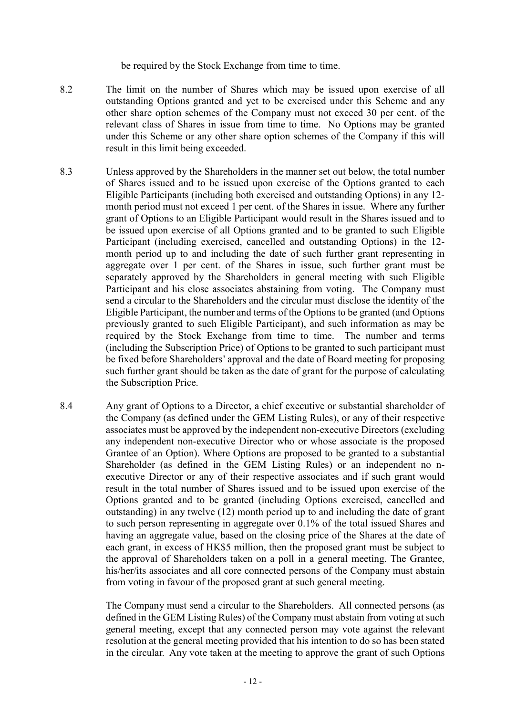be required by the Stock Exchange from time to time.

- 8.2 The limit on the number of Shares which may be issued upon exercise of all outstanding Options granted and yet to be exercised under this Scheme and any other share option schemes of the Company must not exceed 30 per cent. of the relevant class of Shares in issue from time to time. No Options may be granted under this Scheme or any other share option schemes of the Company if this will result in this limit being exceeded.
- 8.3 Unless approved by the Shareholders in the manner set out below, the total number of Shares issued and to be issued upon exercise of the Options granted to each Eligible Participants (including both exercised and outstanding Options) in any 12 month period must not exceed 1 per cent. of the Shares in issue. Where any further grant of Options to an Eligible Participant would result in the Shares issued and to be issued upon exercise of all Options granted and to be granted to such Eligible Participant (including exercised, cancelled and outstanding Options) in the 12 month period up to and including the date of such further grant representing in aggregate over 1 per cent. of the Shares in issue, such further grant must be separately approved by the Shareholders in general meeting with such Eligible Participant and his close associates abstaining from voting. The Company must send a circular to the Shareholders and the circular must disclose the identity of the Eligible Participant, the number and terms of the Options to be granted (and Options previously granted to such Eligible Participant), and such information as may be required by the Stock Exchange from time to time. The number and terms (including the Subscription Price) of Options to be granted to such participant must be fixed before Shareholders' approval and the date of Board meeting for proposing such further grant should be taken as the date of grant for the purpose of calculating the Subscription Price.
- 8.4 Any grant of Options to a Director, a chief executive or substantial shareholder of the Company (as defined under the GEM Listing Rules), or any of their respective associates must be approved by the independent non-executive Directors (excluding any independent non-executive Director who or whose associate is the proposed Grantee of an Option). Where Options are proposed to be granted to a substantial Shareholder (as defined in the GEM Listing Rules) or an independent no nexecutive Director or any of their respective associates and if such grant would result in the total number of Shares issued and to be issued upon exercise of the Options granted and to be granted (including Options exercised, cancelled and outstanding) in any twelve (12) month period up to and including the date of grant to such person representing in aggregate over 0.1% of the total issued Shares and having an aggregate value, based on the closing price of the Shares at the date of each grant, in excess of HK\$5 million, then the proposed grant must be subject to the approval of Shareholders taken on a poll in a general meeting. The Grantee, his/her/its associates and all core connected persons of the Company must abstain from voting in favour of the proposed grant at such general meeting.

The Company must send a circular to the Shareholders. All connected persons (as defined in the GEM Listing Rules) of the Company must abstain from voting at such general meeting, except that any connected person may vote against the relevant resolution at the general meeting provided that his intention to do so has been stated in the circular. Any vote taken at the meeting to approve the grant of such Options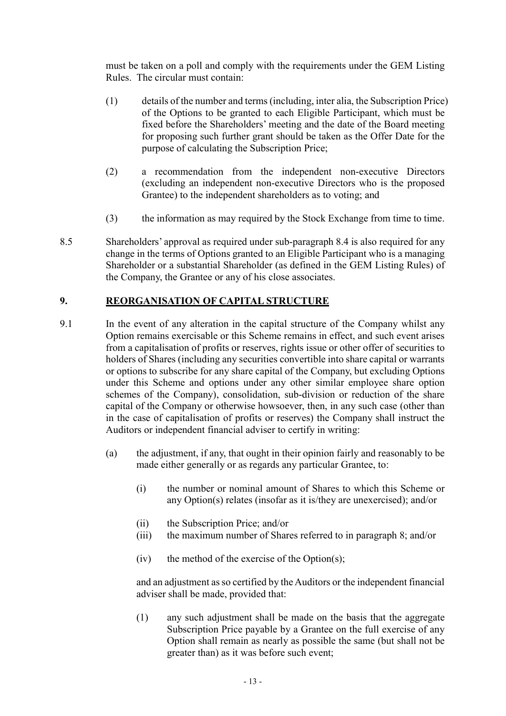must be taken on a poll and comply with the requirements under the GEM Listing Rules. The circular must contain:

- (1) details of the number and terms (including, inter alia, the Subscription Price) of the Options to be granted to each Eligible Participant, which must be fixed before the Shareholders' meeting and the date of the Board meeting for proposing such further grant should be taken as the Offer Date for the purpose of calculating the Subscription Price;
- (2) a recommendation from the independent non-executive Directors (excluding an independent non-executive Directors who is the proposed Grantee) to the independent shareholders as to voting; and
- (3) the information as may required by the Stock Exchange from time to time.
- 8.5 Shareholders' approval as required under sub-paragraph 8.4 is also required for any change in the terms of Options granted to an Eligible Participant who is a managing Shareholder or a substantial Shareholder (as defined in the GEM Listing Rules) of the Company, the Grantee or any of his close associates.

## 9. REORGANISATION OF CAPITAL STRUCTURE

- 9.1 In the event of any alteration in the capital structure of the Company whilst any Option remains exercisable or this Scheme remains in effect, and such event arises from a capitalisation of profits or reserves, rights issue or other offer of securities to holders of Shares (including any securities convertible into share capital or warrants or options to subscribe for any share capital of the Company, but excluding Options under this Scheme and options under any other similar employee share option schemes of the Company), consolidation, sub-division or reduction of the share capital of the Company or otherwise howsoever, then, in any such case (other than in the case of capitalisation of profits or reserves) the Company shall instruct the Auditors or independent financial adviser to certify in writing:
	- (a) the adjustment, if any, that ought in their opinion fairly and reasonably to be made either generally or as regards any particular Grantee, to:
		- (i) the number or nominal amount of Shares to which this Scheme or any Option(s) relates (insofar as it is/they are unexercised); and/or
		- (ii) the Subscription Price; and/or
		- (iii) the maximum number of Shares referred to in paragraph 8; and/or
		- (iv) the method of the exercise of the Option(s);

and an adjustment as so certified by the Auditors or the independent financial adviser shall be made, provided that:

(1) any such adjustment shall be made on the basis that the aggregate Subscription Price payable by a Grantee on the full exercise of any Option shall remain as nearly as possible the same (but shall not be greater than) as it was before such event;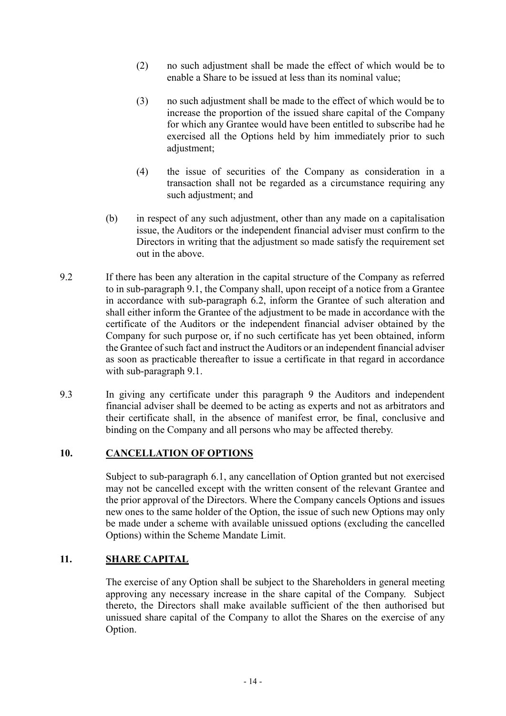- (2) no such adjustment shall be made the effect of which would be to enable a Share to be issued at less than its nominal value;
- (3) no such adjustment shall be made to the effect of which would be to increase the proportion of the issued share capital of the Company for which any Grantee would have been entitled to subscribe had he exercised all the Options held by him immediately prior to such adjustment:
- (4) the issue of securities of the Company as consideration in a transaction shall not be regarded as a circumstance requiring any such adjustment; and
- (b) in respect of any such adjustment, other than any made on a capitalisation issue, the Auditors or the independent financial adviser must confirm to the Directors in writing that the adjustment so made satisfy the requirement set out in the above.
- 9.2 If there has been any alteration in the capital structure of the Company as referred to in sub-paragraph 9.1, the Company shall, upon receipt of a notice from a Grantee in accordance with sub-paragraph 6.2, inform the Grantee of such alteration and shall either inform the Grantee of the adjustment to be made in accordance with the certificate of the Auditors or the independent financial adviser obtained by the Company for such purpose or, if no such certificate has yet been obtained, inform the Grantee of such fact and instruct the Auditors or an independent financial adviser as soon as practicable thereafter to issue a certificate in that regard in accordance with sub-paragraph 9.1.
- 9.3 In giving any certificate under this paragraph 9 the Auditors and independent financial adviser shall be deemed to be acting as experts and not as arbitrators and their certificate shall, in the absence of manifest error, be final, conclusive and binding on the Company and all persons who may be affected thereby.

## 10. CANCELLATION OF OPTIONS

Subject to sub-paragraph 6.1, any cancellation of Option granted but not exercised may not be cancelled except with the written consent of the relevant Grantee and the prior approval of the Directors. Where the Company cancels Options and issues new ones to the same holder of the Option, the issue of such new Options may only be made under a scheme with available unissued options (excluding the cancelled Options) within the Scheme Mandate Limit.

## 11. SHARE CAPITAL

 The exercise of any Option shall be subject to the Shareholders in general meeting approving any necessary increase in the share capital of the Company. Subject thereto, the Directors shall make available sufficient of the then authorised but unissued share capital of the Company to allot the Shares on the exercise of any Option.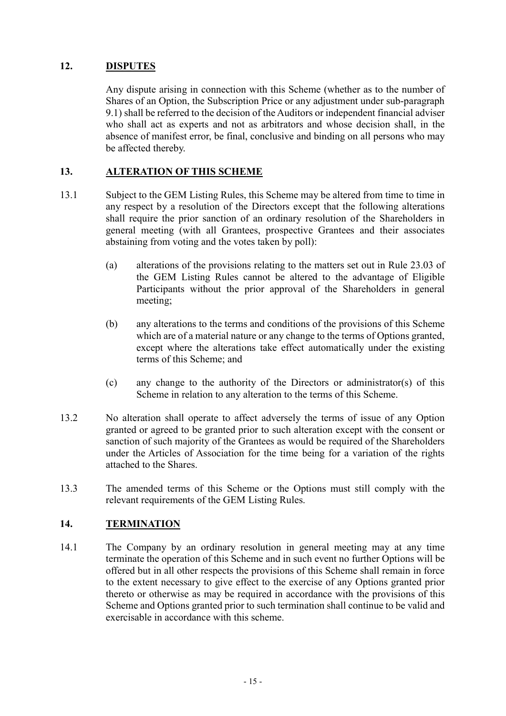## 12. DISPUTES

 Any dispute arising in connection with this Scheme (whether as to the number of Shares of an Option, the Subscription Price or any adjustment under sub-paragraph 9.1) shall be referred to the decision of the Auditors or independent financial adviser who shall act as experts and not as arbitrators and whose decision shall, in the absence of manifest error, be final, conclusive and binding on all persons who may be affected thereby.

## 13. ALTERATION OF THIS SCHEME

- 13.1 Subject to the GEM Listing Rules, this Scheme may be altered from time to time in any respect by a resolution of the Directors except that the following alterations shall require the prior sanction of an ordinary resolution of the Shareholders in general meeting (with all Grantees, prospective Grantees and their associates abstaining from voting and the votes taken by poll):
	- (a) alterations of the provisions relating to the matters set out in Rule 23.03 of the GEM Listing Rules cannot be altered to the advantage of Eligible Participants without the prior approval of the Shareholders in general meeting;
	- (b) any alterations to the terms and conditions of the provisions of this Scheme which are of a material nature or any change to the terms of Options granted, except where the alterations take effect automatically under the existing terms of this Scheme; and
	- (c) any change to the authority of the Directors or administrator(s) of this Scheme in relation to any alteration to the terms of this Scheme.
- 13.2 No alteration shall operate to affect adversely the terms of issue of any Option granted or agreed to be granted prior to such alteration except with the consent or sanction of such majority of the Grantees as would be required of the Shareholders under the Articles of Association for the time being for a variation of the rights attached to the Shares.
- 13.3 The amended terms of this Scheme or the Options must still comply with the relevant requirements of the GEM Listing Rules.

## 14. TERMINATION

14.1 The Company by an ordinary resolution in general meeting may at any time terminate the operation of this Scheme and in such event no further Options will be offered but in all other respects the provisions of this Scheme shall remain in force to the extent necessary to give effect to the exercise of any Options granted prior thereto or otherwise as may be required in accordance with the provisions of this Scheme and Options granted prior to such termination shall continue to be valid and exercisable in accordance with this scheme.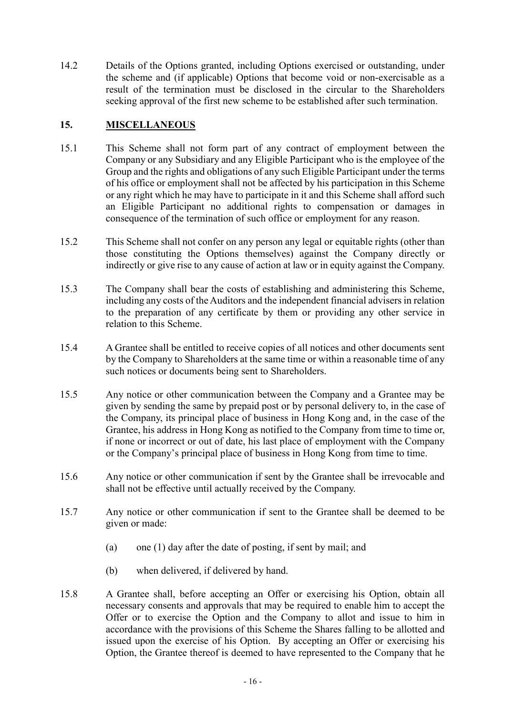14.2 Details of the Options granted, including Options exercised or outstanding, under the scheme and (if applicable) Options that become void or non-exercisable as a result of the termination must be disclosed in the circular to the Shareholders seeking approval of the first new scheme to be established after such termination.

## 15. MISCELLANEOUS

- 15.1 This Scheme shall not form part of any contract of employment between the Company or any Subsidiary and any Eligible Participant who is the employee of the Group and the rights and obligations of any such Eligible Participant under the terms of his office or employment shall not be affected by his participation in this Scheme or any right which he may have to participate in it and this Scheme shall afford such an Eligible Participant no additional rights to compensation or damages in consequence of the termination of such office or employment for any reason.
- 15.2 This Scheme shall not confer on any person any legal or equitable rights (other than those constituting the Options themselves) against the Company directly or indirectly or give rise to any cause of action at law or in equity against the Company.
- 15.3 The Company shall bear the costs of establishing and administering this Scheme, including any costs of the Auditors and the independent financial advisers in relation to the preparation of any certificate by them or providing any other service in relation to this Scheme.
- 15.4 A Grantee shall be entitled to receive copies of all notices and other documents sent by the Company to Shareholders at the same time or within a reasonable time of any such notices or documents being sent to Shareholders.
- 15.5 Any notice or other communication between the Company and a Grantee may be given by sending the same by prepaid post or by personal delivery to, in the case of the Company, its principal place of business in Hong Kong and, in the case of the Grantee, his address in Hong Kong as notified to the Company from time to time or, if none or incorrect or out of date, his last place of employment with the Company or the Company's principal place of business in Hong Kong from time to time.
- 15.6 Any notice or other communication if sent by the Grantee shall be irrevocable and shall not be effective until actually received by the Company.
- 15.7 Any notice or other communication if sent to the Grantee shall be deemed to be given or made:
	- (a) one (1) day after the date of posting, if sent by mail; and
	- (b) when delivered, if delivered by hand.
- 15.8 A Grantee shall, before accepting an Offer or exercising his Option, obtain all necessary consents and approvals that may be required to enable him to accept the Offer or to exercise the Option and the Company to allot and issue to him in accordance with the provisions of this Scheme the Shares falling to be allotted and issued upon the exercise of his Option. By accepting an Offer or exercising his Option, the Grantee thereof is deemed to have represented to the Company that he